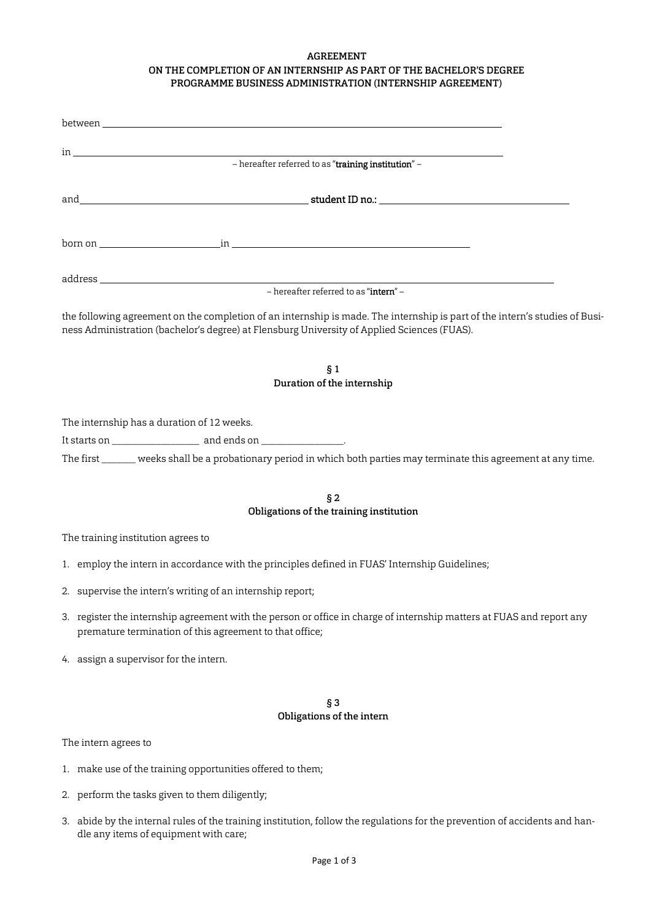# AGREEMENT ON THE COMPLETION OF AN INTERNSHIP AS PART OF THE BACHELOR'S DEGREE PROGRAMME BUSINESS ADMINISTRATION (INTERNSHIP AGREEMENT)

|                                            | - hereafter referred to as "training institution" -                                                                                                                                                                                                             |  |
|--------------------------------------------|-----------------------------------------------------------------------------------------------------------------------------------------------------------------------------------------------------------------------------------------------------------------|--|
|                                            |                                                                                                                                                                                                                                                                 |  |
|                                            |                                                                                                                                                                                                                                                                 |  |
|                                            |                                                                                                                                                                                                                                                                 |  |
|                                            | the following agreement on the completion of an internship is made. The internship is part of the intern's studies of Busi-<br>ness Administration (bachelor's degree) at Flensburg University of Applied Sciences (FUAS).<br>§ 1<br>Duration of the internship |  |
| The internship has a duration of 12 weeks. |                                                                                                                                                                                                                                                                 |  |
|                                            |                                                                                                                                                                                                                                                                 |  |
|                                            | The first ______ weeks shall be a probationary period in which both parties may terminate this agreement at any time.                                                                                                                                           |  |
|                                            | §2                                                                                                                                                                                                                                                              |  |
|                                            | Obligations of the training institution                                                                                                                                                                                                                         |  |
| The training institution agrees to         |                                                                                                                                                                                                                                                                 |  |
|                                            | 1. employ the intern in accordance with the principles defined in FUAS' Internship Guidelines;                                                                                                                                                                  |  |
|                                            | 2. supervise the intern's writing of an internship report;                                                                                                                                                                                                      |  |

- 3. register the internship agreement with the person or office in charge of internship matters at FUAS and report any premature termination of this agreement to that office;
- 4. assign a supervisor for the intern.

# § 3 Obligations of the intern

The intern agrees to

- 1. make use of the training opportunities offered to them;
- 2. perform the tasks given to them diligently;
- 3. abide by the internal rules of the training institution, follow the regulations for the prevention of accidents and handle any items of equipment with care;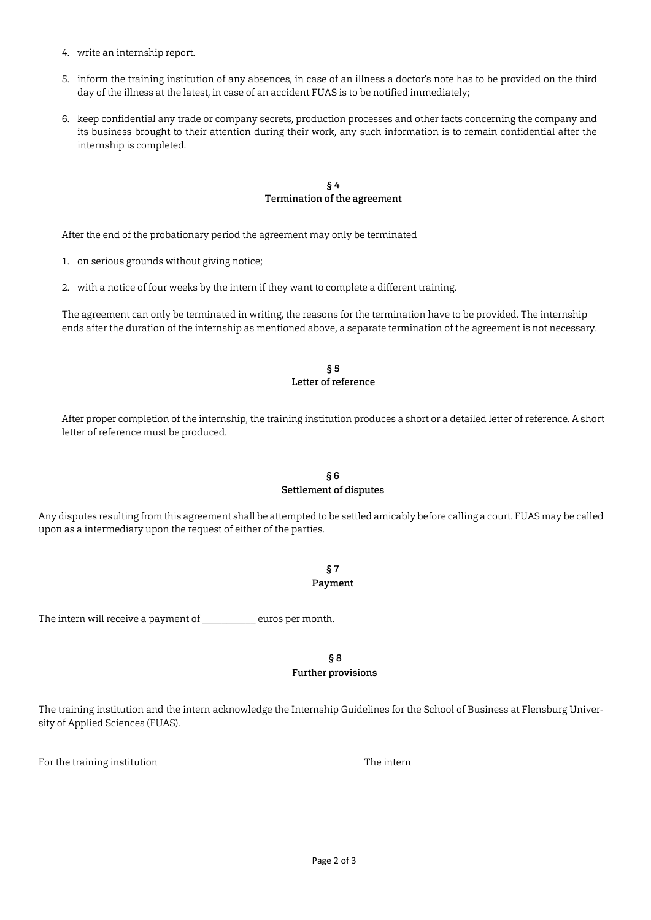- 4. write an internship report.
- 5. inform the training institution of any absences, in case of an illness a doctor's note has to be provided on the third day of the illness at the latest, in case of an accident FUAS is to be notified immediately;
- 6. keep confidential any trade or company secrets, production processes and other facts concerning the company and its business brought to their attention during their work, any such information is to remain confidential after the internship is completed.

# § 4 Termination of the agreement

After the end of the probationary period the agreement may only be terminated

- 1. on serious grounds without giving notice;
- 2. with a notice of four weeks by the intern if they want to complete a different training.

The agreement can only be terminated in writing, the reasons for the termination have to be provided. The internship ends after the duration of the internship as mentioned above, a separate termination of the agreement is not necessary.

#### § 5 Letter of reference

After proper completion of the internship, the training institution produces a short or a detailed letter of reference. A short letter of reference must be produced.

### § 6 Settlement of disputes

Any disputes resulting from this agreement shall be attempted to be settled amicably before calling a court. FUAS may be called upon as a intermediary upon the request of either of the parties.

> § 7 Payment

The intern will receive a payment of \_\_\_\_\_\_\_\_\_\_\_ euros per month.

### § 8 Further provisions

The training institution and the intern acknowledge the Internship Guidelines for the School of Business at Flensburg University of Applied Sciences (FUAS).

For the training institution The internal statements of the internal statements of the internal statements of the internal statements of the internal statements of the internal statements of the internal statements of the

 $\overline{\phantom{0}}$